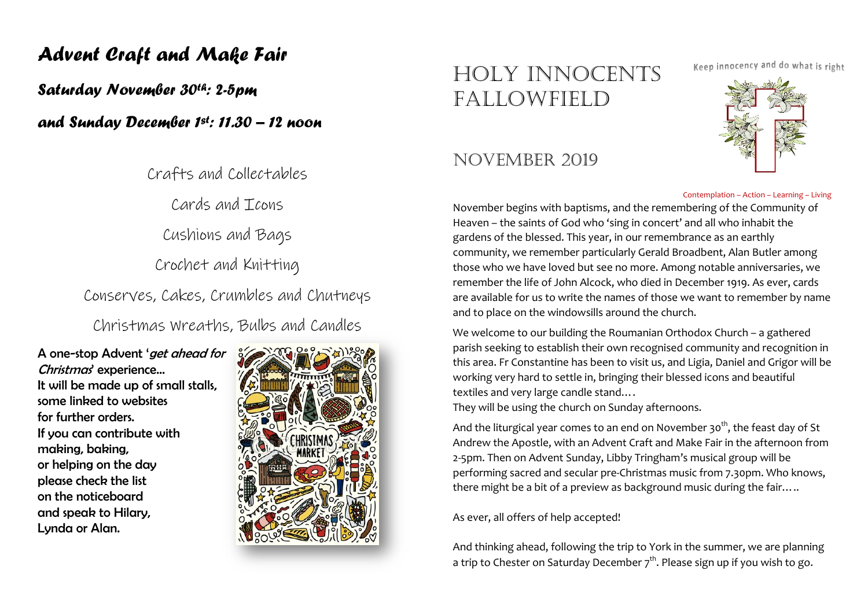# Advent Craft and Make Fair

Saturday November 30th: 2-5pm

and Sunday December 1st: 11.30 – 12 noon

Crafts and Collectables

Cards and Icons

Cushions and Bags

Crochet and Knitting

Conserves, Cakes, Crumbles and Chutneys

Christmas Wreaths, Bulbs and Candles

A one-stop Advent 'get ahead for Christmas' experience... It will be made up of small stalls, some linked to websites for further orders. If you can contribute with making, baking, or helping on the day please check the list on the noticeboard and speak to Hilary, Lynda or Alan.



# HOLY INNOCENTS FALLOWFIELD

# NOVEMBER 2019

Keep innocency and do what is right



#### Contemplation – Action – Learning – Living

November begins with baptisms, and the remembering of the Community of Heaven – the saints of God who 'sing in concert' and all who inhabit the gardens of the blessed. This year, in our remembrance as an earthly community, we remember particularly Gerald Broadbent, Alan Butler among those who we have loved but see no more. Among notable anniversaries, we remember the life of John Alcock, who died in December 1919. As ever, cards are available for us to write the names of those we want to remember by name and to place on the windowsills around the church.

We welcome to our building the Roumanian Orthodox Church – a gathered parish seeking to establish their own recognised community and recognition in this area. Fr Constantine has been to visit us, and Ligia, Daniel and Grigor will be working very hard to settle in, bringing their blessed icons and beautiful textiles and very large candle stand….

They will be using the church on Sunday afternoons.

And the liturgical year comes to an end on November 30<sup>th</sup>, the feast day of St Andrew the Apostle, with an Advent Craft and Make Fair in the afternoon from 2-5pm. Then on Advent Sunday, Libby Tringham's musical group will be performing sacred and secular pre-Christmas music from 7.30pm. Who knows, there might be a bit of a preview as background music during the fair…..

As ever, all offers of help accepted!

And thinking ahead, following the trip to York in the summer, we are planning a trip to Chester on Saturday December  $7<sup>th</sup>$ . Please sign up if you wish to go.